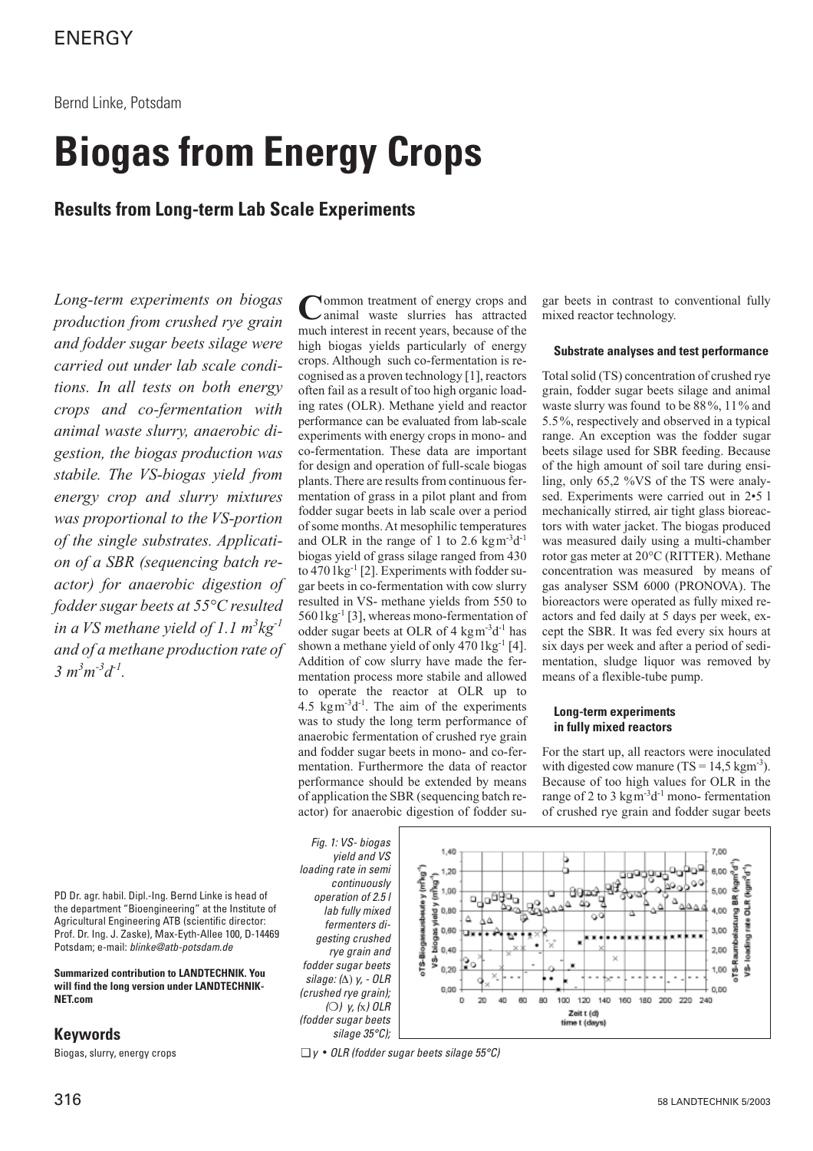# **Biogas from Energy Crops**

**Results from Long-term Lab Scale Experiments**

*Long-term experiments on biogas production from crushed rye grain and fodder sugar beets silage were carried out under lab scale conditions. In all tests on both energy crops and co-fermentation with animal waste slurry, anaerobic digestion, the biogas production was stabile. The VS-biogas yield from energy crop and slurry mixtures was proportional to the VS-portion of the single substrates. Application of a SBR (sequencing batch reactor) for anaerobic digestion of fodder sugar beets at 55°C resulted in a VS methane yield of 1.1 m<sup>3</sup> kg-1 and of a methane production rate of*  $3 m<sup>3</sup>m<sup>-3</sup>d<sup>-1</sup>$ .

**Common treatment of energy crops and** animal waste slurries has attracted much interest in recent years, because of the high biogas yields particularly of energy crops. Although such co-fermentation is recognised as a proven technology [1], reactors often fail as a result of too high organic loading rates (OLR). Methane yield and reactor performance can be evaluated from lab-scale experiments with energy crops in mono- and co-fermentation. These data are important for design and operation of full-scale biogas plants. There are results from continuous fermentation of grass in a pilot plant and from fodder sugar beets in lab scale over a period of some months. At mesophilic temperatures and OLR in the range of 1 to 2.6 kgm<sup>-3</sup>d<sup>-1</sup> biogas yield of grass silage ranged from 430 to  $470 \log^{-1}$  [2]. Experiments with fodder sugar beets in co-fermentation with cow slurry resulted in VS- methane yields from 550 to  $560$  lkg<sup>-1</sup> [3], whereas mono-fermentation of odder sugar beets at OLR of  $4 \text{ kg} \text{m}^{-3} \text{d}^{-1}$  has shown a methane yield of only  $470 \text{ kg}^{-1}$  [4]. Addition of cow slurry have made the fermentation process more stabile and allowed to operate the reactor at OLR up to 4.5  $kgm^{-3}d^{-1}$ . The aim of the experiments was to study the long term performance of anaerobic fermentation of crushed rye grain and fodder sugar beets in mono- and co-fermentation. Furthermore the data of reactor performance should be extended by means of application the SBR (sequencing batch reactor) for anaerobic digestion of fodder sugar beets in contrast to conventional fully mixed reactor technology.

## **Substrate analyses and test performance**

Total solid (TS) concentration of crushed rye grain, fodder sugar beets silage and animal waste slurry was found to be  $88\%$ , 11% and 5.5%, respectively and observed in a typical range. An exception was the fodder sugar beets silage used for SBR feeding. Because of the high amount of soil tare during ensiling, only 65,2 %VS of the TS were analysed. Experiments were carried out in  $2 \cdot 5$  l mechanically stirred, air tight glass bioreactors with water jacket. The biogas produced was measured daily using a multi-chamber rotor gas meter at 20°C (RITTER). Methane concentration was measured by means of gas analyser SSM 6000 (PRONOVA). The bioreactors were operated as fully mixed reactors and fed daily at 5 days per week, except the SBR. It was fed every six hours at six days per week and after a period of sedimentation, sludge liquor was removed by means of a flexible-tube pump.

## **Long-term experiments in fully mixed reactors**

For the start up, all reactors were inoculated with digested cow manure  $(TS = 14.5 \text{ kgm}^{-3})$ . Because of too high values for OLR in the range of 2 to 3 kgm<sup>-3</sup>d<sup>-1</sup> mono- fermentation of crushed rye grain and fodder sugar beets

PD Dr. agr. habil. Dipl.-Ing. Bernd Linke is head of the department "Bioengineering" at the Institute of Agricultural Engineering ATB (scientific director: Prof. Dr. Ing. J. Zaske), Max-Eyth-Allee 100, D-14469 Potsdam; e-mail: blinke@atb-potsdam.de

**Summarized contribution to LANDTECHNIK. You will find the long version under LANDTECHNIK-NET.com**

## **Keywords**

Biogas, slurry, energy crops





 $\Box$  y • OLR (fodder sugar beets silage 55°C)